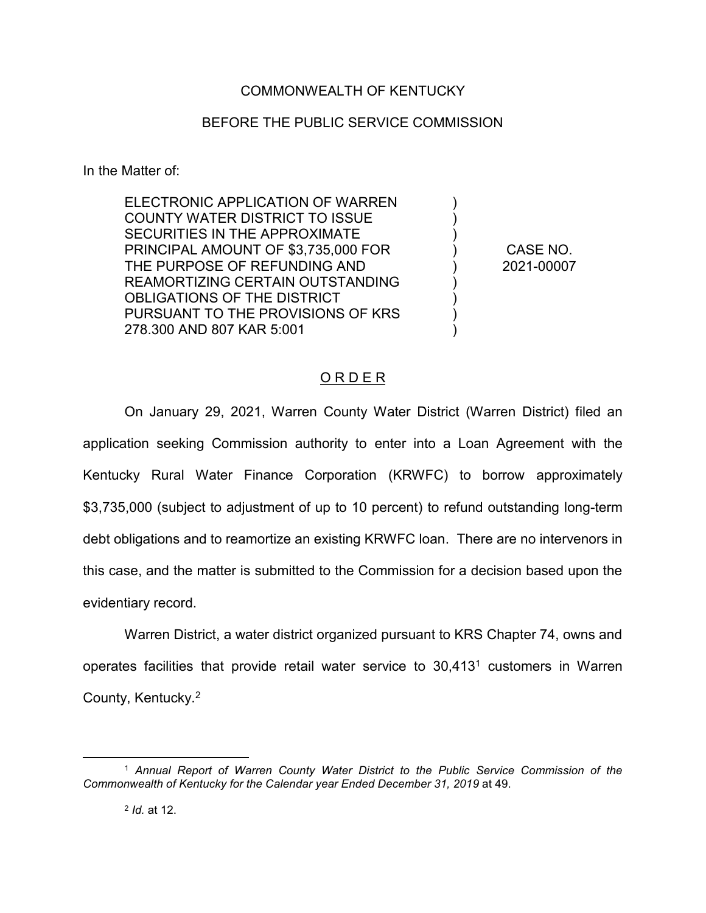## COMMONWEALTH OF KENTUCKY

## BEFORE THE PUBLIC SERVICE COMMISSION

In the Matter of:

ELECTRONIC APPLICATION OF WARREN COUNTY WATER DISTRICT TO ISSUE SECURITIES IN THE APPROXIMATE PRINCIPAL AMOUNT OF \$3,735,000 FOR THE PURPOSE OF REFUNDING AND REAMORTIZING CERTAIN OUTSTANDING OBLIGATIONS OF THE DISTRICT PURSUANT TO THE PROVISIONS OF KRS 278.300 AND 807 KAR 5:001

CASE NO. 2021-00007

) ) ) ) ) ) ) ) )

## O R D E R

On January 29, 2021, Warren County Water District (Warren District) filed an application seeking Commission authority to enter into a Loan Agreement with the Kentucky Rural Water Finance Corporation (KRWFC) to borrow approximately \$3,735,000 (subject to adjustment of up to 10 percent) to refund outstanding long-term debt obligations and to reamortize an existing KRWFC loan. There are no intervenors in this case, and the matter is submitted to the Commission for a decision based upon the evidentiary record.

Warren District, a water district organized pursuant to KRS Chapter 74, owns and operates facilities that provide retail water service to  $30.413<sup>1</sup>$  customers in Warren County, Kentucky.2

 <sup>1</sup> *Annual Report of Warren County Water District to the Public Service Commission of the Commonwealth of Kentucky for the Calendar year Ended December 31, 2019* at 49.

<sup>2</sup> *Id.* at 12.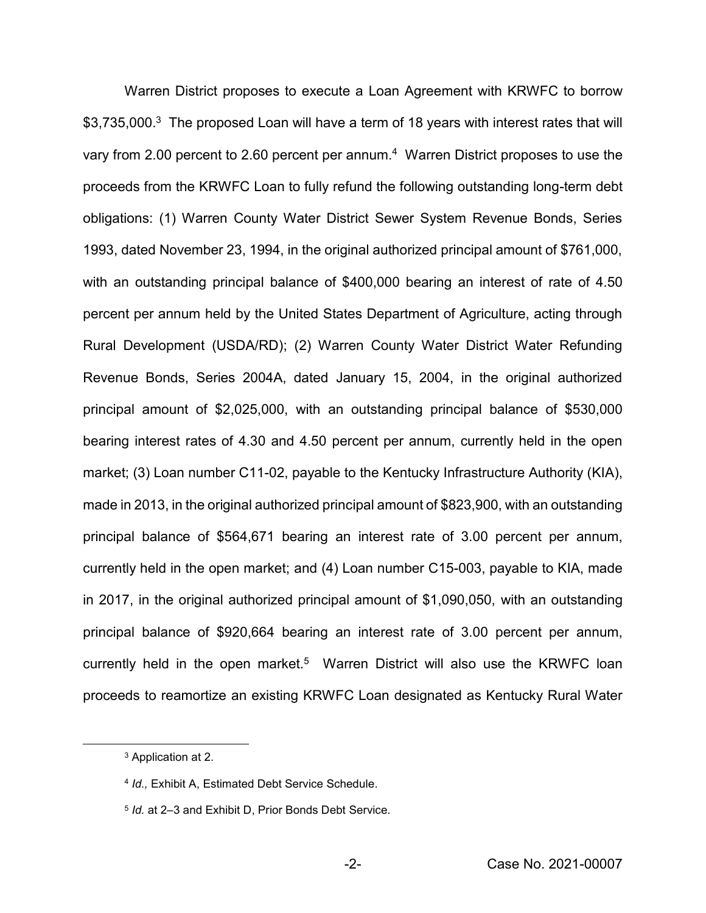Warren District proposes to execute a Loan Agreement with KRWFC to borrow \$3,735,000.<sup>3</sup> The proposed Loan will have a term of 18 years with interest rates that will vary from 2.00 percent to 2.60 percent per annum.<sup>4</sup> Warren District proposes to use the proceeds from the KRWFC Loan to fully refund the following outstanding long-term debt obligations: (1) Warren County Water District Sewer System Revenue Bonds, Series 1993, dated November 23, 1994, in the original authorized principal amount of \$761,000, with an outstanding principal balance of \$400,000 bearing an interest of rate of 4.50 percent per annum held by the United States Department of Agriculture, acting through Rural Development (USDA/RD); (2) Warren County Water District Water Refunding Revenue Bonds, Series 2004A, dated January 15, 2004, in the original authorized principal amount of \$2,025,000, with an outstanding principal balance of \$530,000 bearing interest rates of 4.30 and 4.50 percent per annum, currently held in the open market; (3) Loan number C11-02, payable to the Kentucky Infrastructure Authority (KIA), made in 2013, in the original authorized principal amount of \$823,900, with an outstanding principal balance of \$564,671 bearing an interest rate of 3.00 percent per annum, currently held in the open market; and (4) Loan number C15-003, payable to KIA, made in 2017, in the original authorized principal amount of \$1,090,050, with an outstanding principal balance of \$920,664 bearing an interest rate of 3.00 percent per annum, currently held in the open market.<sup>5</sup> Warren District will also use the KRWFC loan proceeds to reamortize an existing KRWFC Loan designated as Kentucky Rural Water

 <sup>3</sup> Application at 2.

<sup>4</sup> *Id.,* Exhibit A, Estimated Debt Service Schedule.

<sup>5</sup> *Id.* at 2–3 and Exhibit D, Prior Bonds Debt Service.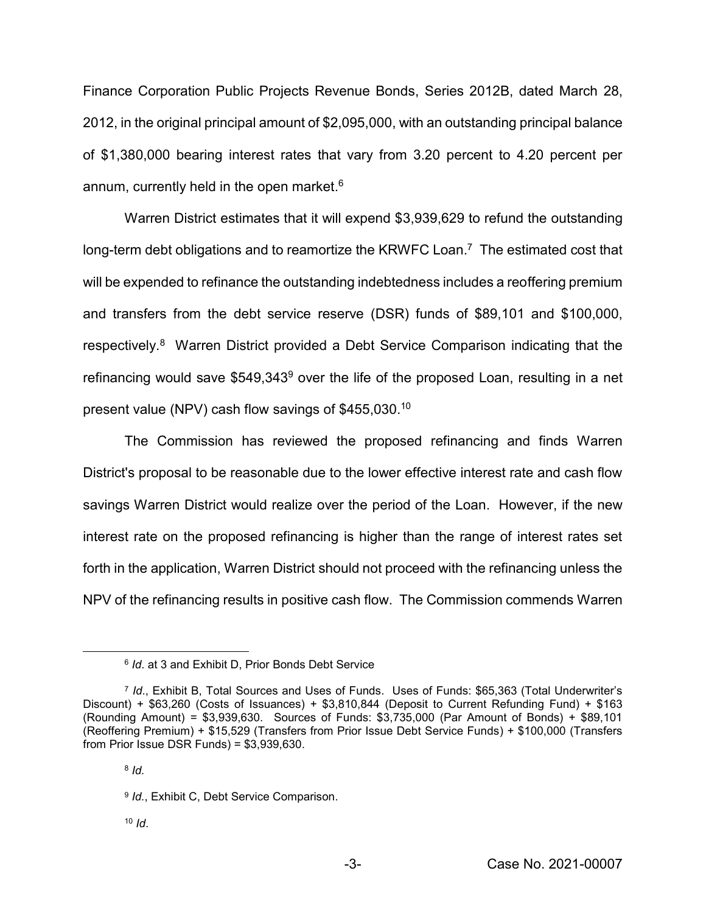Finance Corporation Public Projects Revenue Bonds, Series 2012B, dated March 28, 2012, in the original principal amount of \$2,095,000, with an outstanding principal balance of \$1,380,000 bearing interest rates that vary from 3.20 percent to 4.20 percent per annum, currently held in the open market.<sup>6</sup>

Warren District estimates that it will expend \$3,939,629 to refund the outstanding long-term debt obligations and to reamortize the KRWFC Loan.<sup>7</sup> The estimated cost that will be expended to refinance the outstanding indebtedness includes a reoffering premium and transfers from the debt service reserve (DSR) funds of \$89,101 and \$100,000, respectively.<sup>8</sup> Warren District provided a Debt Service Comparison indicating that the refinancing would save \$549,343<sup>9</sup> over the life of the proposed Loan, resulting in a net present value (NPV) cash flow savings of \$455,030.<sup>10</sup>

The Commission has reviewed the proposed refinancing and finds Warren District's proposal to be reasonable due to the lower effective interest rate and cash flow savings Warren District would realize over the period of the Loan. However, if the new interest rate on the proposed refinancing is higher than the range of interest rates set forth in the application, Warren District should not proceed with the refinancing unless the NPV of the refinancing results in positive cash flow. The Commission commends Warren

 $10$  *Id*.

 <sup>6</sup> *Id*. at 3 and Exhibit D, Prior Bonds Debt Service

<sup>7</sup> *Id*., Exhibit B, Total Sources and Uses of Funds. Uses of Funds: \$65,363 (Total Underwriter's Discount) + \$63,260 (Costs of Issuances) + \$3,810,844 (Deposit to Current Refunding Fund) + \$163 (Rounding Amount) = \$3,939,630. Sources of Funds: \$3,735,000 (Par Amount of Bonds) + \$89,101 (Reoffering Premium) + \$15,529 (Transfers from Prior Issue Debt Service Funds) + \$100,000 (Transfers from Prior Issue DSR Funds) = \$3,939,630.

<sup>8</sup> *Id.*

<sup>9</sup> *Id.*, Exhibit C, Debt Service Comparison.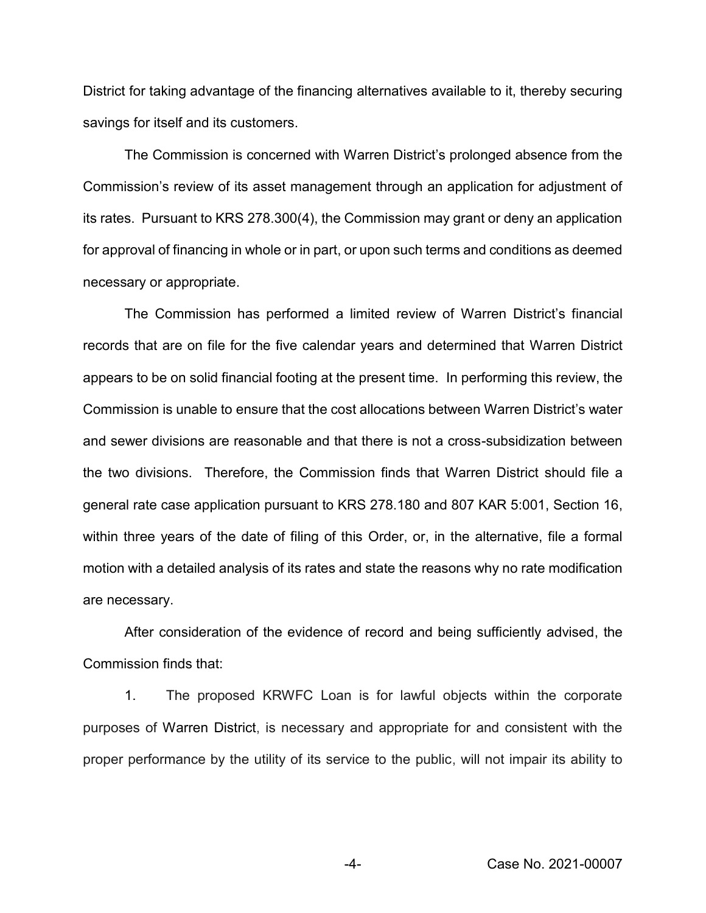District for taking advantage of the financing alternatives available to it, thereby securing savings for itself and its customers.

The Commission is concerned with Warren District's prolonged absence from the Commission's review of its asset management through an application for adjustment of its rates. Pursuant to KRS 278.300(4), the Commission may grant or deny an application for approval of financing in whole or in part, or upon such terms and conditions as deemed necessary or appropriate.

The Commission has performed a limited review of Warren District's financial records that are on file for the five calendar years and determined that Warren District appears to be on solid financial footing at the present time. In performing this review, the Commission is unable to ensure that the cost allocations between Warren District's water and sewer divisions are reasonable and that there is not a cross-subsidization between the two divisions. Therefore, the Commission finds that Warren District should file a general rate case application pursuant to KRS 278.180 and 807 KAR 5:001, Section 16, within three years of the date of filing of this Order, or, in the alternative, file a formal motion with a detailed analysis of its rates and state the reasons why no rate modification are necessary.

After consideration of the evidence of record and being sufficiently advised, the Commission finds that:

1. The proposed KRWFC Loan is for lawful objects within the corporate purposes of Warren District, is necessary and appropriate for and consistent with the proper performance by the utility of its service to the public, will not impair its ability to

-4- Case No. 2021-00007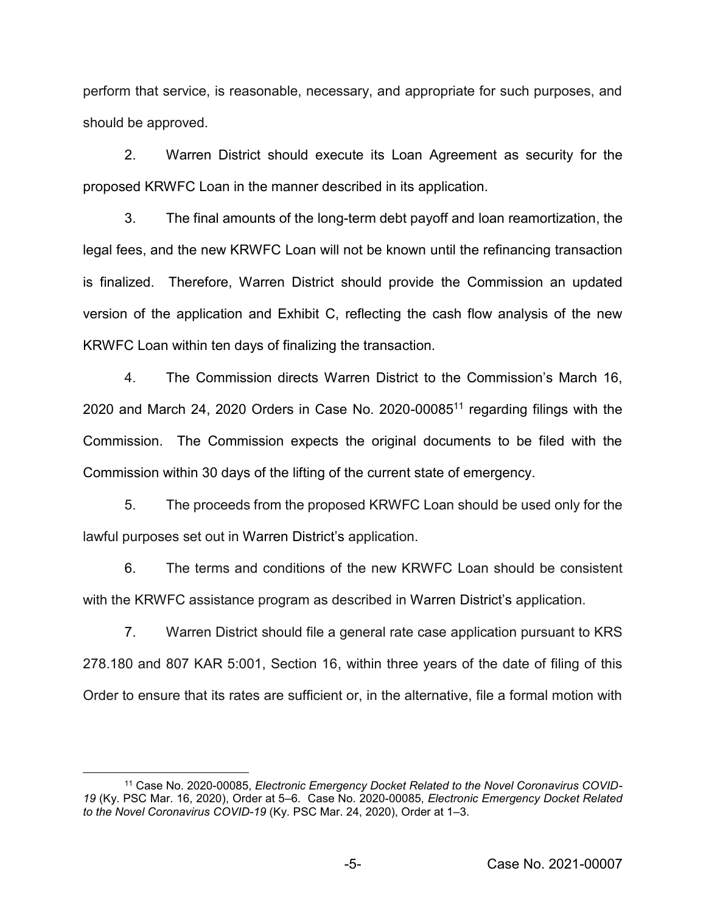perform that service, is reasonable, necessary, and appropriate for such purposes, and should be approved.

2. Warren District should execute its Loan Agreement as security for the proposed KRWFC Loan in the manner described in its application.

3. The final amounts of the long-term debt payoff and loan reamortization, the legal fees, and the new KRWFC Loan will not be known until the refinancing transaction is finalized. Therefore, Warren District should provide the Commission an updated version of the application and Exhibit C, reflecting the cash flow analysis of the new KRWFC Loan within ten days of finalizing the transaction.

4. The Commission directs Warren District to the Commission's March 16, 2020 and March 24, 2020 Orders in Case No. 2020-0008511 regarding filings with the Commission. The Commission expects the original documents to be filed with the Commission within 30 days of the lifting of the current state of emergency.

5. The proceeds from the proposed KRWFC Loan should be used only for the lawful purposes set out in Warren District's application.

6. The terms and conditions of the new KRWFC Loan should be consistent with the KRWFC assistance program as described in Warren District's application.

7. Warren District should file a general rate case application pursuant to KRS 278.180 and 807 KAR 5:001, Section 16, within three years of the date of filing of this Order to ensure that its rates are sufficient or, in the alternative, file a formal motion with

<sup>&</sup>lt;sup>11</sup> Case No. 2020-00085, *Electronic Emergency Docket Related to the Novel Coronavirus COVID-19* (Ky. PSC Mar. 16, 2020), Order at 5–6. Case No. 2020-00085, *Electronic Emergency Docket Related to the Novel Coronavirus COVID-19* (Ky. PSC Mar. 24, 2020), Order at 1–3.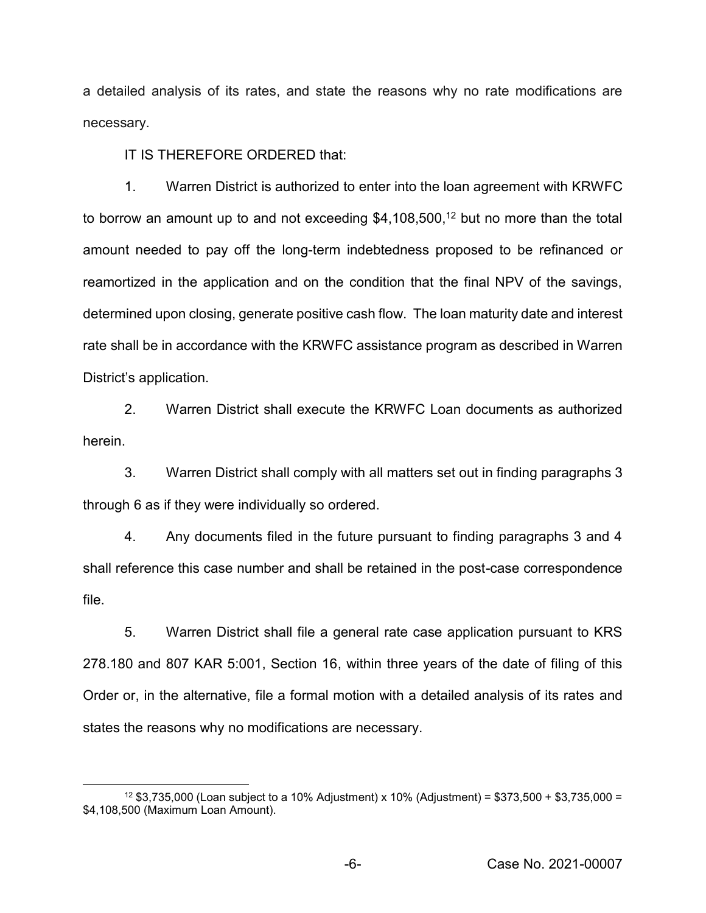a detailed analysis of its rates, and state the reasons why no rate modifications are necessary.

IT IS THEREFORE ORDERED that:

1. Warren District is authorized to enter into the loan agreement with KRWFC to borrow an amount up to and not exceeding \$4,108,500,<sup>12</sup> but no more than the total amount needed to pay off the long-term indebtedness proposed to be refinanced or reamortized in the application and on the condition that the final NPV of the savings, determined upon closing, generate positive cash flow. The loan maturity date and interest rate shall be in accordance with the KRWFC assistance program as described in Warren District's application.

2. Warren District shall execute the KRWFC Loan documents as authorized herein.

3. Warren District shall comply with all matters set out in finding paragraphs 3 through 6 as if they were individually so ordered.

4. Any documents filed in the future pursuant to finding paragraphs 3 and 4 shall reference this case number and shall be retained in the post-case correspondence file.

5. Warren District shall file a general rate case application pursuant to KRS 278.180 and 807 KAR 5:001, Section 16, within three years of the date of filing of this Order or, in the alternative, file a formal motion with a detailed analysis of its rates and states the reasons why no modifications are necessary.

<sup>&</sup>lt;sup>12</sup> \$3,735,000 (Loan subject to a 10% Adjustment) x 10% (Adjustment) = \$373,500 + \$3,735,000 = \$4,108,500 (Maximum Loan Amount).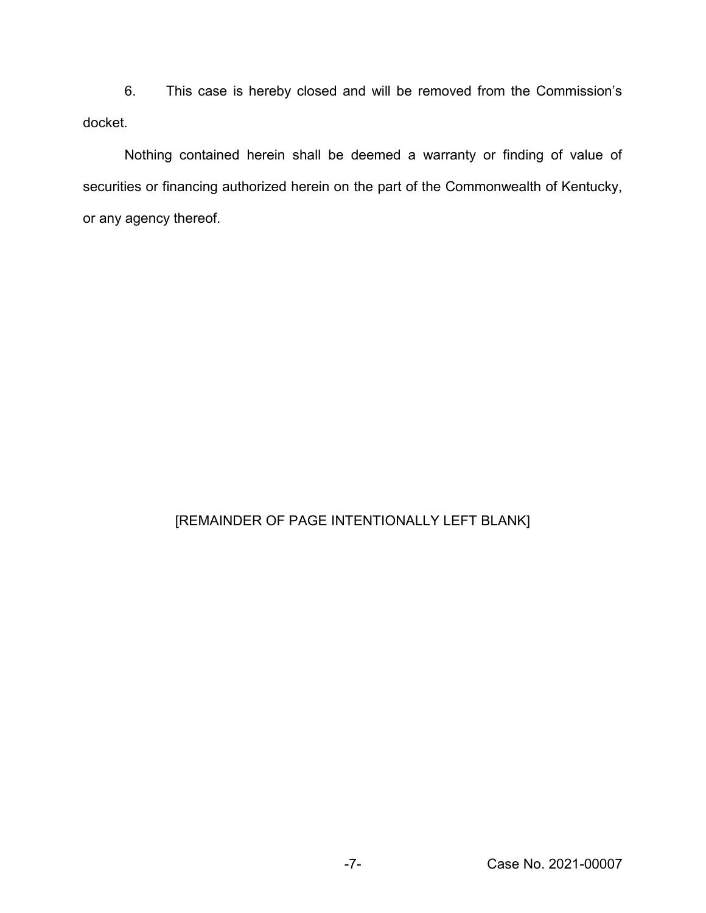6. This case is hereby closed and will be removed from the Commission's docket.

Nothing contained herein shall be deemed a warranty or finding of value of securities or financing authorized herein on the part of the Commonwealth of Kentucky, or any agency thereof.

## [REMAINDER OF PAGE INTENTIONALLY LEFT BLANK]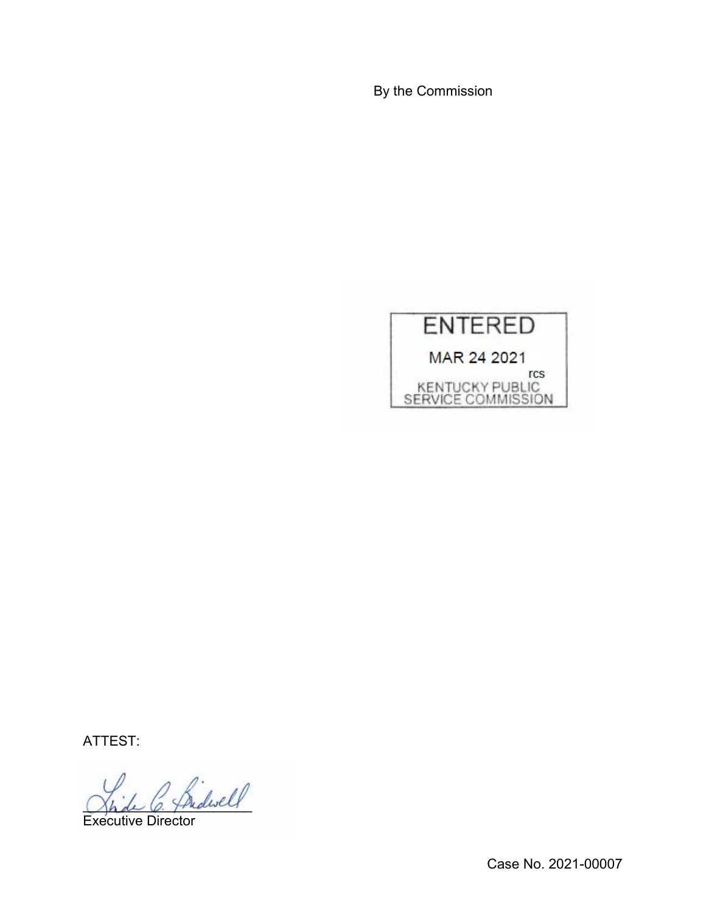By the Commission



ATTEST:

 $^{\prime}$  friderell

Executive Director

Case No. 2021-00007